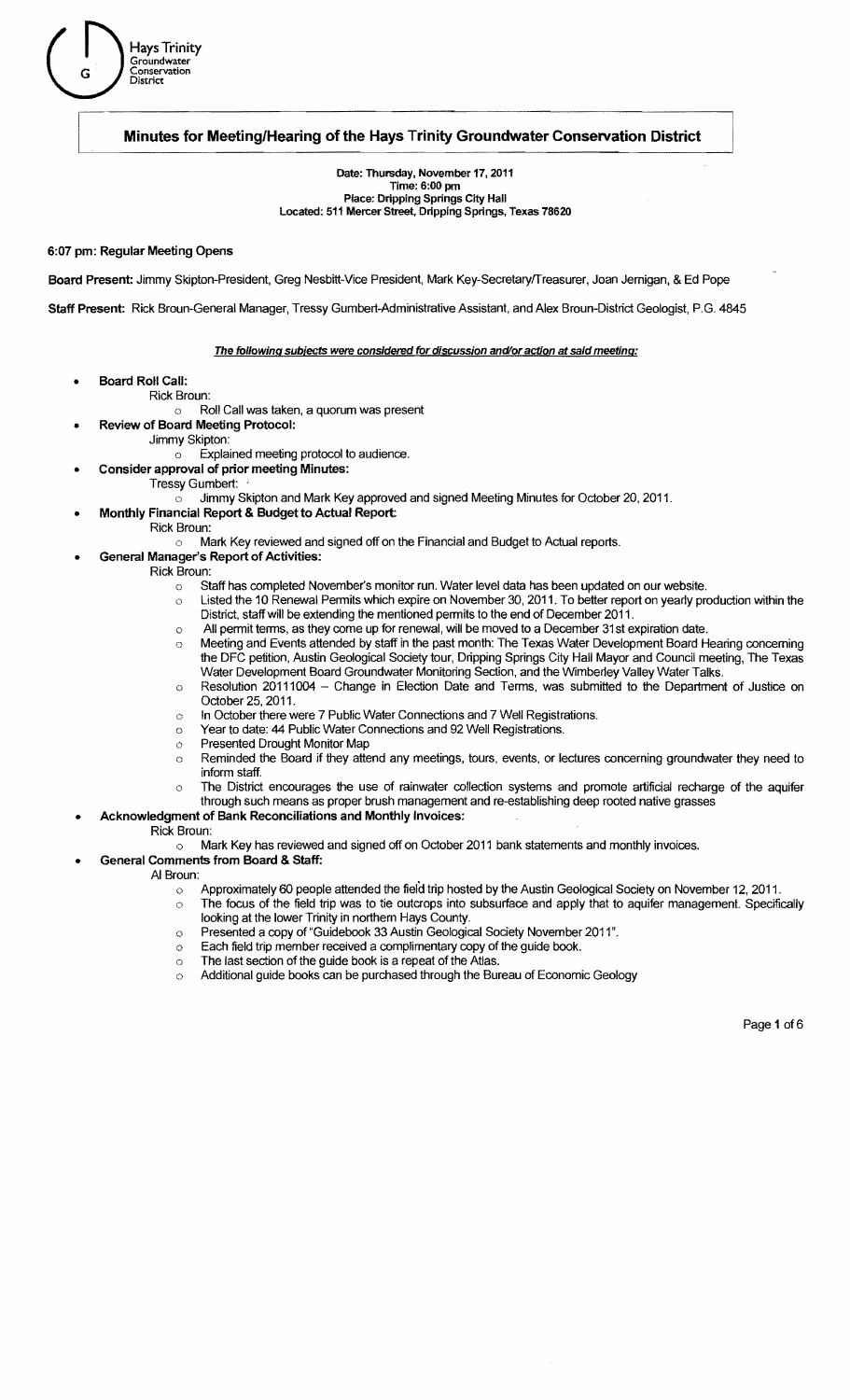# Hays Trinity<br>G Conservation<br>District Groundwater G **Conservation**

# Minutes for Meeting/Hearing of the Hays Trinity Groundwater Conservation District

Date: Thursday, November 17, 2011 Time: 6:00 pm Place: Dripping Springs City Hall Located: 511 Mercer Street, Dripping Springs, Texas 78620

# 6:07 pm: Regular Meeting Opens

Board Present: Jimmy Skipton-President, Greg Nesbitt-Vice President, Mark Key-SecretarylTreasurer, Joan Jernigan, & Ed Pope

Staff Present: Rick Broun-General Manager, Tressy Gumbert-Administrative Assistant, and Alex Broun-District Geologist, P.G. 4845

## The following subjects were considered for discussion and/or action at said meeting:

- Board Roll Call:
	- Rick Broun:
		- Roll Call was taken, a quorum was present
		- Review of Board Meeting Protocol:
			- Jimmy Skipton:
				- $\circ$  **Explained meeting protocol to audience.**
		- Consider approval of prior meeting Minutes:
			- Tressy Gumbert:
				- $\circ$  Jimmy Skipton and Mark Key approved and signed Meeting Minutes for October 20, 2011.
		- Monthly Financial Report & Budget to Actual Report:
			- Rick Broun:
				- Mark Key reviewed and signed off on the Financial and Budget to Actual reports.  $\circ$
- General Manager's Report of Activities:
	- Rick Broun:
		- o Staff has completed November's monitor run. Water level data has been updated on our website.
		- $\circ$  Listed the 10 Renewal Permits which expire on November 30, 2011. To better report on yearly production within the District, staff will be extending the mentioned permits to the end of December 2011.
		- All permit terms, as they come up for renewal, will be moved to a December 31st expiration date.  $\ddot{\circ}$
		- $\circ$  Meeting and Events attended by staff in the past month: The Texas Water Development Board Hearing concerning the DFC petition, Austin Geological Society tour, Dripping Springs City Hall Mayor and Council meeting, The Texas Water Development Board Groundwater Monitoring Section, and the Wimberley Valley Water Talks.
		- o Resolution 20111004 Change in Election Date and Terms, was submitted to the Department of Justice on October 25, 2011.
		- In October there were 7 Public Water Connections and 7 Well Registrations.  $\circ$
		- o Year to date: 44 Public Water Connections and 92 Well Registrations.
		- o Presented Drought Monitor Map
		- o Reminded the Board if they attend any meetings, tours, events, or lectures concerning groundwater they need to inform staff.
		- $\circ$  The District encourages the use of rainwater collection systems and promote artificial recharge of the aquifer through such means as proper brush management and re-establishing deep rooted native grasses
	- Acknowledgment of Bank Reconciliations and Monthly Invoices:
- Rick Broun:
	- o Mark Key has reviewed and signed off on October 2011 bank statements and monthly invoices.
	- General Comments from Board & Staff:
		- AI Broun:
			- $\sim$  Approximately 60 people attended the field trip hosted by the Austin Geological Society on November 12, 2011.
			- $\circ$  The focus of the field trip was to tie outcrops into subsurface and apply that to aquifer management. Specifically looking at the lower Trinity in northern Hays County.
			- $\circ$  Presented a copy of "Guidebook 33 Austin Geological Society November 2011".
			- $\circ$  Each field trip member received a complimentary copy of the guide book.
			- $\circ$  The last section of the guide book is a repeat of the Atlas.
			- o Additional guide books can be purchased through the Bureau of Economic Geology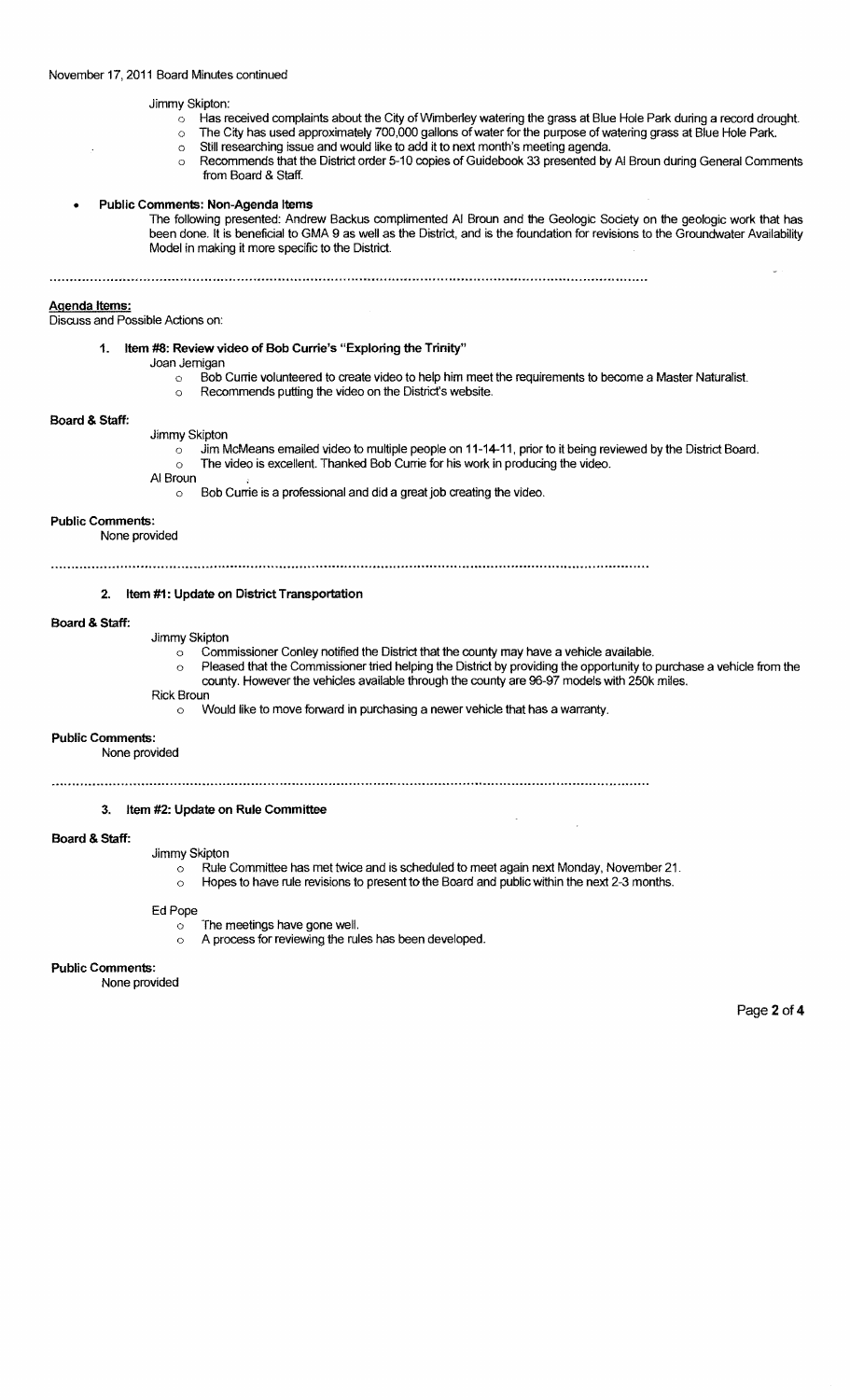# November 17, 2011 Board Minutes continued

# Jimmy Skipton:

- $\circ$  Has received complaints about the City of Wimberley watering the grass at Blue Hole Park during a record drought.
- o The City has used approximately 700,000 gallons of water for the purpose of watering grass at Blue Hole Park.
	- o Still researching issue and would like to add it to next month's meeting agenda.
	- o Recommends that the District order 5-10 copies of Guidebook 33 presented by AI Broun during General Comments from Board & Staff.

## Public Comments: Non-Agenda Items

The following presented: Andrew Backus complimented AI Broun and the Geologic Society on the geologic work that has been done. It is beneficial to GMA 9 as well as the District, and is the foundation for revisions to the Groundwater Availability Model in making it more specific to the District.

# Agenda Items:

Discuss and Possible Actions on:

- 1. Item #8: Review video of Bob Currie's "Exploring the Trinity"
	- Joan Jemigan
		- $\circ$  Bob Currie volunteered to create video to help him meet the requirements to become a Master Naturalist.
		- o Recommends putting the video on the District's website.

## Board & Staff:

- Jimmy Skipton
	- $\circ$  Jim McMeans emailed video to multiple people on 11-14-11, prior to it being reviewed by the District Board. o The video is excellent. Thanked Bob Currie for his work in producing the video.
	- AI Broun
		- $\circ$  Bob Currie is a professional and did a great job creating the video.

#### Public Comments:

None provided

# 2. Item #1: Update on District Transportation

#### Board & Staff:

- Jimmy Skipton
	- o Commissioner Conley notified the District that the county may have a vehicle available.
	- Pleased that the Commissioner tried helping the District by providing the opportunity to purchase a vehicle from the county. However the vehicles available through the county are 96-97 models with 250k miles.
- Rick Broun
	- o Would like to move forward in purchasing a newer vehicle that has a warranty.

#### Public Comments:

None provided

# 3. Item #2: Update on Rule Committee

#### Board & Staff:

Jimmy Skipton

- o Rule Committee has met twice and is scheduled to meet again next Monday, November 21.
- o Hopes to have rule revisions to present to the Board and public within the next 2-3 months.

# Ed Pope

- o The meetings have gone well.
- o A process for reviewing the rules has been developed.

## Public Comments:

None provided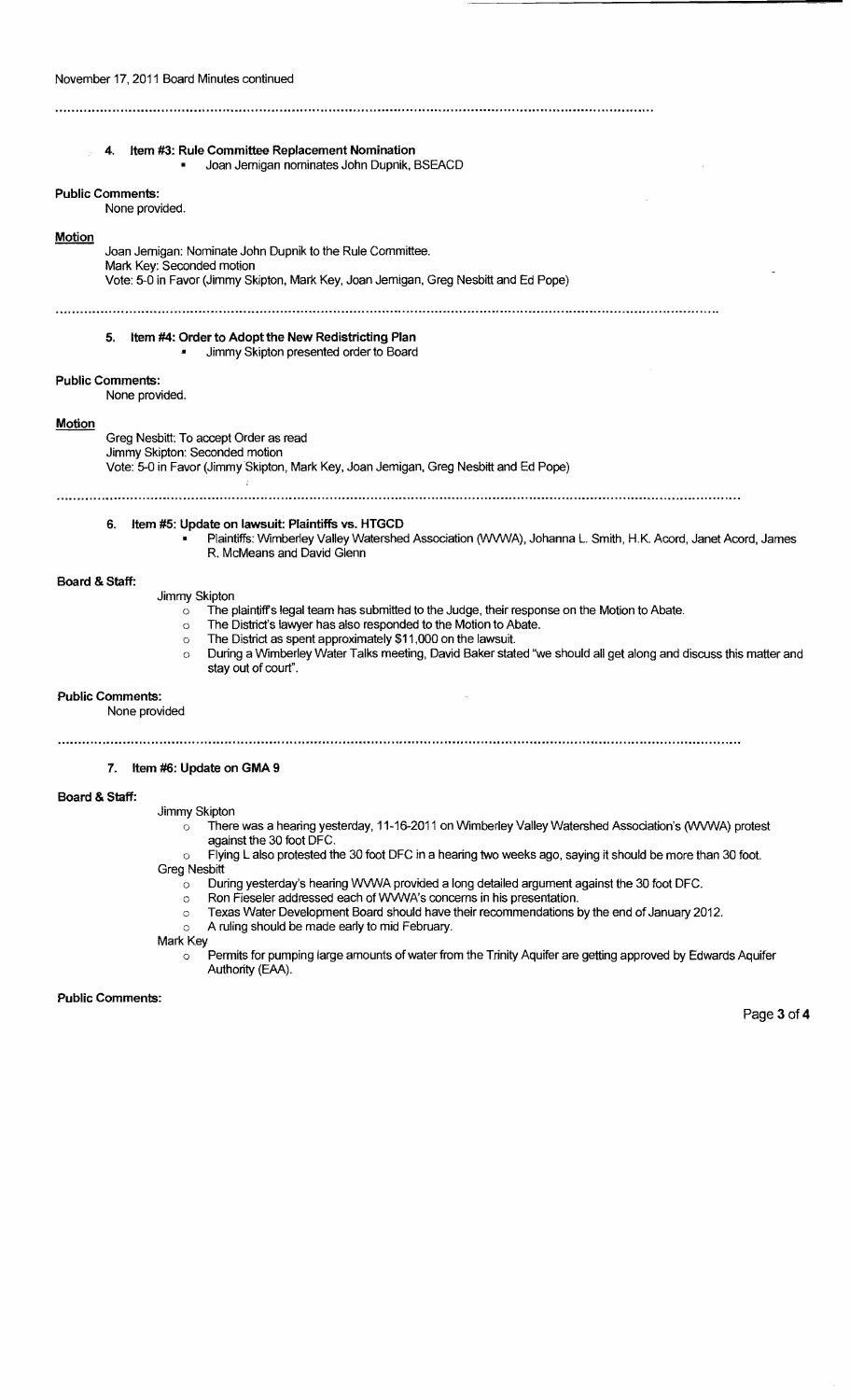| Item #3: Rule Committee Replacement Nomination<br>4.<br>Joan Jemigan nominates John Dupnik, BSEACD                                                                                                                                                                                                                                                                                                                                                   |
|------------------------------------------------------------------------------------------------------------------------------------------------------------------------------------------------------------------------------------------------------------------------------------------------------------------------------------------------------------------------------------------------------------------------------------------------------|
| <b>Public Comments:</b><br>None provided.                                                                                                                                                                                                                                                                                                                                                                                                            |
| Motion<br>Joan Jernigan: Nominate John Dupnik to the Rule Committee.<br>Mark Key: Seconded motion<br>Vote: 5-0 in Favor (Jimmy Skipton, Mark Key, Joan Jemigan, Greg Nesbitt and Ed Pope)                                                                                                                                                                                                                                                            |
| Item #4: Order to Adopt the New Redistricting Plan<br>5.<br>Jimmy Skipton presented order to Board                                                                                                                                                                                                                                                                                                                                                   |
| <b>Public Comments:</b><br>None provided.                                                                                                                                                                                                                                                                                                                                                                                                            |
| Motion<br>Greg Nesbitt: To accept Order as read<br>Jimmy Skipton: Seconded motion<br>Vote: 5-0 in Favor (Jimmy Skipton, Mark Key, Joan Jemigan, Greg Nesbitt and Ed Pope)                                                                                                                                                                                                                                                                            |
| Item #5: Update on lawsuit: Plaintiffs vs. HTGCD<br>6.<br>Plaintiffs: Wimberley Valley Watershed Association (WVWA), Johanna L. Smith, H.K. Acord, Janet Acord, James<br>R. McMeans and David Glenn                                                                                                                                                                                                                                                  |
| Board & Staff:<br>Jimmy Skipton<br>The plaintiff's legal team has submitted to the Judge, their response on the Motion to Abate.<br>$\circ$<br>The District's lawyer has also responded to the Motion to Abate.<br>O<br>The District as spent approximately \$11,000 on the lawsuit.<br>$\circ$<br>During a Wimberley Water Talks meeting, David Baker stated "we should all get along and discuss this matter and<br>$\circ$<br>stay out of court". |
| <b>Public Comments:</b><br>None provided                                                                                                                                                                                                                                                                                                                                                                                                             |
| 7.<br>Item #6: Update on GMA 9                                                                                                                                                                                                                                                                                                                                                                                                                       |
| Board & Staff:<br>Jimmy Skipton<br>There was a hearing yesterday, 11-16-2011 on Wimberley Valley Watershed Association's (WVWA) protest<br>$\circ$<br>against the 30 foot DFC.<br>Fluing Lolen protected the 20 feet BEC in a booring tup unplo ago, couling it chould be reased than 20 feet                                                                                                                                                        |

- o Flying L also protested the 30 foot DFC in a hearing two weeks ago, saying it should be more than 30 foot. Greg Nesbitt
	- $\circ$   $\;\;$  During yesterday's hearing WVWA provided a long detailed argument against the 30 foot DFC.
	- o Ron Fieseler addressed each of WWWA's concerns in his presentation.
	- $\circ$  Texas Water Development Board should have their recommendations by the end of January 2012.
	- o A ruling should be made early to mid February.

Mark Key o Permits for pumping large amounts of water from the Trinity Aquifer are getting approved by Edwards Aquifer Authority (EAA).

Public Comments:

Page 3 of 4